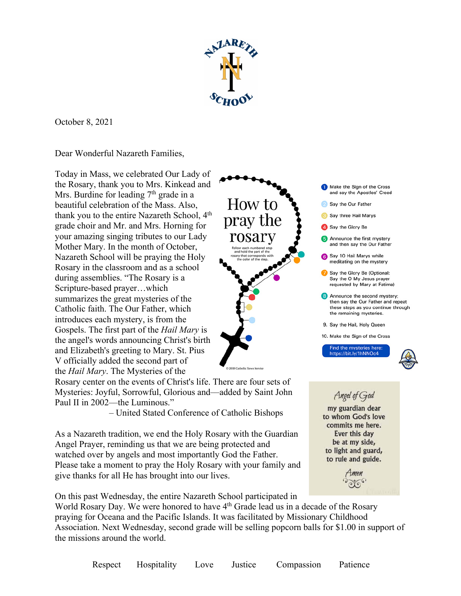

How to

pray the

rosary

October 8, 2021

Dear Wonderful Nazareth Families,

Today in Mass, we celebrated Our Lady of the Rosary, thank you to Mrs. Kinkead and Mrs. Burdine for leading  $7<sup>th</sup>$  grade in a beautiful celebration of the Mass. Also, thank you to the entire Nazareth School, 4<sup>th</sup> grade choir and Mr. and Mrs. Horning for your amazing singing tributes to our Lady Mother Mary. In the month of October, Nazareth School will be praying the Holy Rosary in the classroom and as a school during assemblies. "The Rosary is a Scripture-based prayer…which summarizes the great mysteries of the Catholic faith. The Our Father, which introduces each mystery, is from the Gospels. The first part of the *Hail Mary* is the angel's words announcing Christ's birth and Elizabeth's greeting to Mary. St. Pius V officially added the second part of the *Hail Mary*. The Mysteries of the

Rosary center on the events of Christ's life. There are four sets of Mysteries: Joyful, Sorrowful, Glorious and––added by Saint John Paul II in 2002—the Luminous."

– United Stated Conference of Catholic Bishops

As a Nazareth tradition, we end the Holy Rosary with the Guardian Angel Prayer, reminding us that we are being protected and watched over by angels and most importantly God the Father. Please take a moment to pray the Holy Rosary with your family and give thanks for all He has brought into our lives.

On this past Wednesday, the entire Nazareth School participated in

World Rosary Day. We were honored to have 4<sup>th</sup> Grade lead us in a decade of the Rosary praying for Oceana and the Pacific Islands. It was facilitated by Missionary Childhood Association. Next Wednesday, second grade will be selling popcorn balls for \$1.00 in support of the missions around the world.







men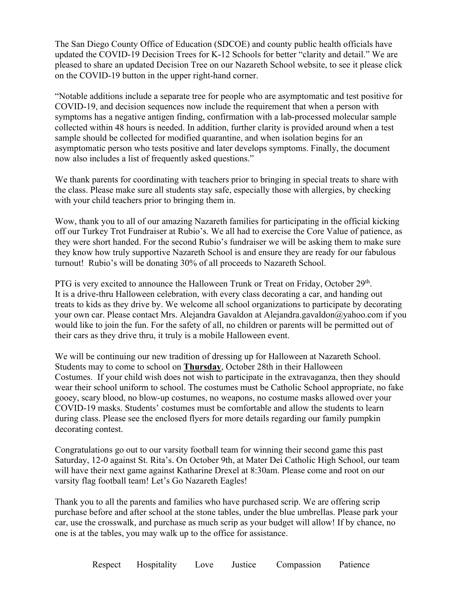The San Diego County Office of Education (SDCOE) and county public health officials have updated the COVID-19 Decision Trees for K-12 Schools for better "clarity and detail." We are pleased to share an updated Decision Tree on our Nazareth School website, to see it please click on the COVID-19 button in the upper right-hand corner.

"Notable additions include a separate tree for people who are asymptomatic and test positive for COVID-19, and decision sequences now include the requirement that when a person with symptoms has a negative antigen finding, confirmation with a lab-processed molecular sample collected within 48 hours is needed. In addition, further clarity is provided around when a test sample should be collected for modified quarantine, and when isolation begins for an asymptomatic person who tests positive and later develops symptoms. Finally, the document now also includes a list of frequently asked questions."

We thank parents for coordinating with teachers prior to bringing in special treats to share with the class. Please make sure all students stay safe, especially those with allergies, by checking with your child teachers prior to bringing them in.

Wow, thank you to all of our amazing Nazareth families for participating in the official kicking off our Turkey Trot Fundraiser at Rubio's. We all had to exercise the Core Value of patience, as they were short handed. For the second Rubio's fundraiser we will be asking them to make sure they know how truly supportive Nazareth School is and ensure they are ready for our fabulous turnout! Rubio's will be donating 30% of all proceeds to Nazareth School.

PTG is very excited to announce the Halloween Trunk or Treat on Friday, October 29<sup>th</sup>. It is a drive-thru Halloween celebration, with every class decorating a car, and handing out treats to kids as they drive by. We welcome all school organizations to participate by decorating your own car. Please contact Mrs. Alejandra Gavaldon at Alejandra.gavaldon@yahoo.com if you would like to join the fun. For the safety of all, no children or parents will be permitted out of their cars as they drive thru, it truly is a mobile Halloween event.

We will be continuing our new tradition of dressing up for Halloween at Nazareth School. Students may to come to school on **Thursday**, October 28th in their Halloween Costumes. If your child wish does not wish to participate in the extravaganza, then they should wear their school uniform to school. The costumes must be Catholic School appropriate, no fake gooey, scary blood, no blow-up costumes, no weapons, no costume masks allowed over your COVID-19 masks. Students' costumes must be comfortable and allow the students to learn during class. Please see the enclosed flyers for more details regarding our family pumpkin decorating contest.

Congratulations go out to our varsity football team for winning their second game this past Saturday, 12-0 against St. Rita's. On October 9th, at Mater Dei Catholic High School, our team will have their next game against Katharine Drexel at 8:30am. Please come and root on our varsity flag football team! Let's Go Nazareth Eagles!

Thank you to all the parents and families who have purchased scrip. We are offering scrip purchase before and after school at the stone tables, under the blue umbrellas. Please park your car, use the crosswalk, and purchase as much scrip as your budget will allow! If by chance, no one is at the tables, you may walk up to the office for assistance.